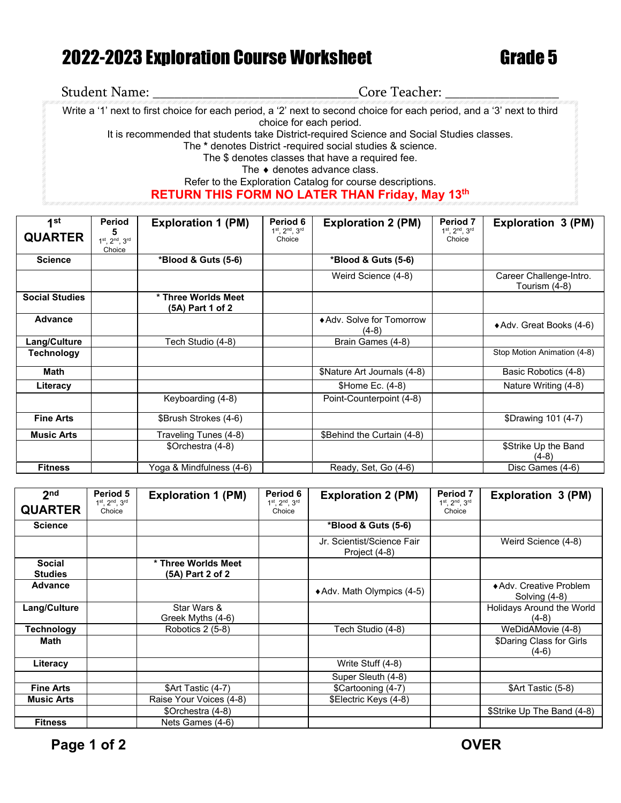## 2022-2023 Exploration Course Worksheet Grade 5

## Student Name: \_\_\_\_\_\_\_\_\_\_\_\_\_\_\_\_\_\_\_\_\_\_\_\_\_\_\_\_\_Core Teacher: \_\_\_\_\_\_\_\_\_\_\_\_\_\_\_\_

Write a '1' next to first choice for each period, a '2' next to second choice for each period, and a '3' next to third choice for each period. It is recommended that students take District-required Science and Social Studies classes. The **\*** denotes District -required social studies & science. The \$ denotes classes that have a required fee. The ♦ denotes advance class.

Refer to the Exploration Catalog for course descriptions. **RETURN THIS FORM NO LATER THAN Friday, May 13th**

| 1st                   | Period                                        | <b>Exploration 1 (PM)</b>                 | Period 6                | <b>Exploration 2 (PM)</b>          | Period 7                                 | Exploration 3 (PM)                       |
|-----------------------|-----------------------------------------------|-------------------------------------------|-------------------------|------------------------------------|------------------------------------------|------------------------------------------|
| <b>QUARTER</b>        | 5<br>$1^{st}$ , $2^{nd}$ , $3^{rd}$<br>Choice |                                           | 1st, 2nd, 3rd<br>Choice |                                    | $1^{st}$ . $2^{nd}$ . $3^{rd}$<br>Choice |                                          |
| <b>Science</b>        |                                               | *Blood & Guts (5-6)                       |                         | *Blood & Guts (5-6)                |                                          |                                          |
|                       |                                               |                                           |                         | Weird Science (4-8)                |                                          | Career Challenge-Intro.<br>Tourism (4-8) |
| <b>Social Studies</b> |                                               | * Three Worlds Meet<br>$(5A)$ Part 1 of 2 |                         |                                    |                                          |                                          |
| <b>Advance</b>        |                                               |                                           |                         | ◆ Adv. Solve for Tomorrow<br>(4-8) |                                          | ◆ Adv. Great Books (4-6)                 |
| Lang/Culture          |                                               | Tech Studio (4-8)                         |                         | Brain Games (4-8)                  |                                          |                                          |
| <b>Technology</b>     |                                               |                                           |                         |                                    |                                          | Stop Motion Animation (4-8)              |
| Math                  |                                               |                                           |                         | \$Nature Art Journals (4-8)        |                                          | Basic Robotics (4-8)                     |
| Literacy              |                                               |                                           |                         | \$Home Ec. (4-8)                   |                                          | Nature Writing (4-8)                     |
|                       |                                               | Keyboarding (4-8)                         |                         | Point-Counterpoint (4-8)           |                                          |                                          |
| <b>Fine Arts</b>      |                                               | \$Brush Strokes (4-6)                     |                         |                                    |                                          | \$Drawing 101 (4-7)                      |
| <b>Music Arts</b>     |                                               | Traveling Tunes (4-8)                     |                         | \$Behind the Curtain (4-8)         |                                          |                                          |
|                       |                                               | \$Orchestra (4-8)                         |                         |                                    |                                          | \$Strike Up the Band<br>$(4-8)$          |
| <b>Fitness</b>        |                                               | Yoga & Mindfulness (4-6)                  |                         | Ready, Set, Go (4-6)               |                                          | Disc Games (4-6)                         |

| 2 <sub>nd</sub>                 | Period 5                | <b>Exploration 1 (PM)</b>               | Period 6                | <b>Exploration 2 (PM)</b>                   | Period 7                | Exploration 3 (PM)                       |
|---------------------------------|-------------------------|-----------------------------------------|-------------------------|---------------------------------------------|-------------------------|------------------------------------------|
| <b>QUARTER</b>                  | 1st, 2nd, 3rd<br>Choice |                                         | 1st, 2nd, 3rd<br>Choice |                                             | 1st, 2nd, 3rd<br>Choice |                                          |
| <b>Science</b>                  |                         |                                         |                         | *Blood & Guts (5-6)                         |                         |                                          |
|                                 |                         |                                         |                         | Jr. Scientist/Science Fair<br>Project (4-8) |                         | Weird Science (4-8)                      |
| <b>Social</b><br><b>Studies</b> |                         | * Three Worlds Meet<br>(5A) Part 2 of 2 |                         |                                             |                         |                                          |
| <b>Advance</b>                  |                         |                                         |                         | ◆ Adv. Math Olympics (4-5)                  |                         | ◆ Adv. Creative Problem<br>Solving (4-8) |
| Lang/Culture                    |                         | Star Wars &<br>Greek Myths (4-6)        |                         |                                             |                         | Holidays Around the World<br>$(4-8)$     |
| Technology                      |                         | Robotics 2 (5-8)                        |                         | Fech Studio (4-8)                           |                         | WeDidAMovie (4-8)                        |
| Math                            |                         |                                         |                         |                                             |                         | \$Daring Class for Girls<br>$(4-6)$      |
| Literacy                        |                         |                                         |                         | Write Stuff (4-8)                           |                         |                                          |
|                                 |                         |                                         |                         | Super Sleuth (4-8)                          |                         |                                          |
| <b>Fine Arts</b>                |                         | \$Art Tastic (4-7)                      |                         | \$Cartooning (4-7)                          |                         | \$Art Tastic (5-8)                       |
| <b>Music Arts</b>               |                         | Raise Your Voices (4-8)                 |                         | \$Electric Keys (4-8)                       |                         |                                          |
|                                 |                         | \$Orchestra (4-8)                       |                         |                                             |                         | \$Strike Up The Band (4-8)               |
| <b>Fitness</b>                  |                         | Nets Games (4-6)                        |                         |                                             |                         |                                          |